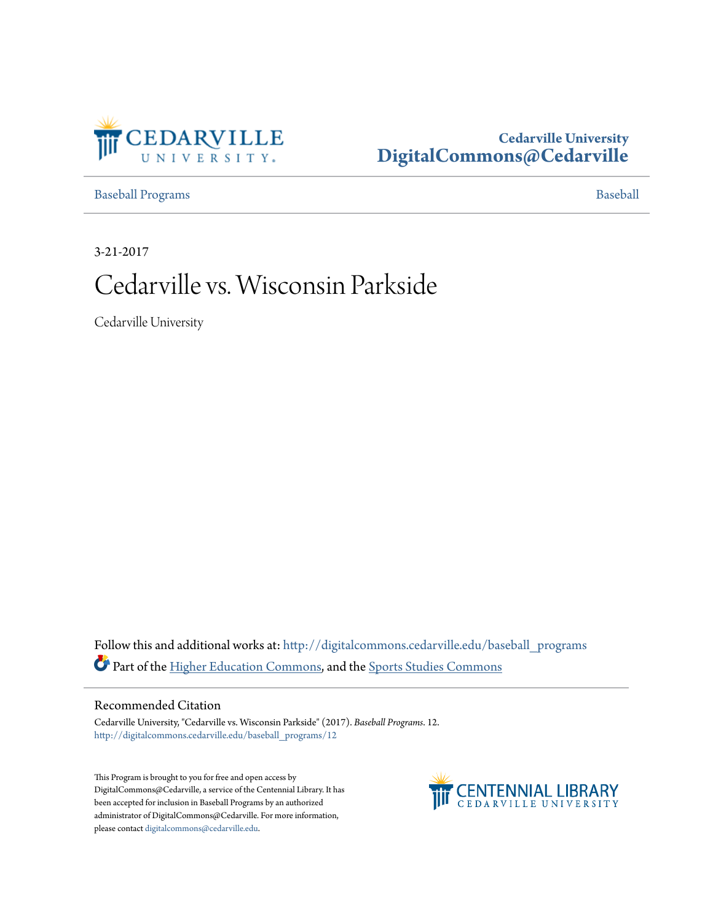

# **Cedarville University [DigitalCommons@Cedarville](http://digitalcommons.cedarville.edu?utm_source=digitalcommons.cedarville.edu%2Fbaseball_programs%2F12&utm_medium=PDF&utm_campaign=PDFCoverPages)**

[Baseball Programs](http://digitalcommons.cedarville.edu/baseball_programs?utm_source=digitalcommons.cedarville.edu%2Fbaseball_programs%2F12&utm_medium=PDF&utm_campaign=PDFCoverPages) **[Baseball](http://digitalcommons.cedarville.edu/baseball?utm_source=digitalcommons.cedarville.edu%2Fbaseball_programs%2F12&utm_medium=PDF&utm_campaign=PDFCoverPages)** 

3-21-2017

# Cedarville vs. Wisconsin Parkside

Cedarville University

Follow this and additional works at: [http://digitalcommons.cedarville.edu/baseball\\_programs](http://digitalcommons.cedarville.edu/baseball_programs?utm_source=digitalcommons.cedarville.edu%2Fbaseball_programs%2F12&utm_medium=PDF&utm_campaign=PDFCoverPages) Part of the [Higher Education Commons](http://network.bepress.com/hgg/discipline/1245?utm_source=digitalcommons.cedarville.edu%2Fbaseball_programs%2F12&utm_medium=PDF&utm_campaign=PDFCoverPages), and the [Sports Studies Commons](http://network.bepress.com/hgg/discipline/1198?utm_source=digitalcommons.cedarville.edu%2Fbaseball_programs%2F12&utm_medium=PDF&utm_campaign=PDFCoverPages)

# Recommended Citation

Cedarville University, "Cedarville vs. Wisconsin Parkside" (2017). *Baseball Programs*. 12. [http://digitalcommons.cedarville.edu/baseball\\_programs/12](http://digitalcommons.cedarville.edu/baseball_programs/12?utm_source=digitalcommons.cedarville.edu%2Fbaseball_programs%2F12&utm_medium=PDF&utm_campaign=PDFCoverPages)

This Program is brought to you for free and open access by DigitalCommons@Cedarville, a service of the Centennial Library. It has been accepted for inclusion in Baseball Programs by an authorized administrator of DigitalCommons@Cedarville. For more information, please contact [digitalcommons@cedarville.edu.](mailto:digitalcommons@cedarville.edu)

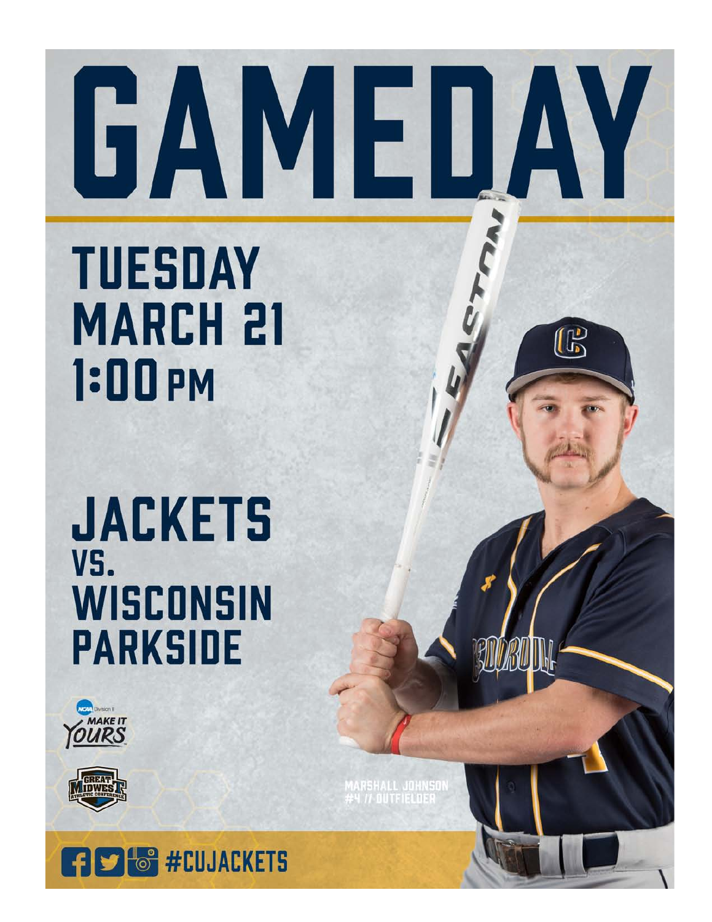# GAMEDAY

 $\mathbb{G}$ 

**TUESDAY MARCH 21**  $1:00<sub>PM</sub>$ 

# **JACKETS** VS. WISCONSIN **PARKSIDE**